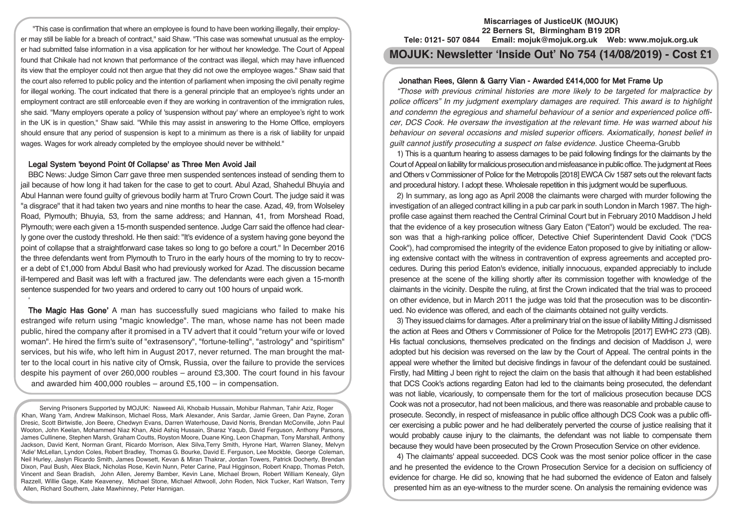"This case is confirmation that where an employee is found to have been working illegally, their employer may still be liable for a breach of contract," said Shaw. "This case was somewhat unusual as the employer had submitted false information in a visa application for her without her knowledge. The Court of Appeal found that Chikale had not known that performance of the contract was illegal, which may have influenced its view that the employer could not then argue that they did not owe the employee wages." Shaw said that the court also referred to public policy and the intention of parliament when imposing the civil penalty regime for illegal working. The court indicated that there is a general principle that an employee's rights under an employment contract are still enforceable even if they are working in contravention of the immigration rules, she said. "Many employers operate a policy of 'suspension without pay' where an employee's right to work in the UK is in question," Shaw said. "While this may assist in answering to the Home Office, employers should ensure that any period of suspension is kept to a minimum as there is a risk of liability for unpaid wages. Wages for work already completed by the employee should never be withheld."

## Legal System 'beyond Point 0f Collapse' as Three Men Avoid Jail

'

BBC News: Judge Simon Carr gave three men suspended sentences instead of sending them to jail because of how long it had taken for the case to get to court. Abul Azad, Shahedul Bhuyia and Abul Hannan were found guilty of grievous bodily harm at Truro Crown Court. The judge said it was "a disgrace" that it had taken two years and nine months to hear the case. Azad, 49, from Wolseley Road, Plymouth; Bhuyia, 53, from the same address; and Hannan, 41, from Morshead Road, Plymouth; were each given a 15-month suspended sentence. Judge Carr said the offence had clearly gone over the custody threshold. He then said: "It's evidence of a system having gone beyond the point of collapse that a straightforward case takes so long to go before a court." In December 2016 the three defendants went from Plymouth to Truro in the early hours of the morning to try to recover a debt of £1,000 from Abdul Basit who had previously worked for Azad. The discussion became ill-tempered and Basit was left with a fractured jaw. The defendants were each given a 15-month sentence suspended for two years and ordered to carry out 100 hours of unpaid work.

The Magic Has Gone' A man has successfully sued magicians who failed to make his estranged wife return using "magic knowledge". The man, whose name has not been made public, hired the company after it promised in a TV advert that it could "return your wife or loved woman". He hired the firm's suite of "extrasensory", "fortune-telling", "astrology" and "spiritism" services, but his wife, who left him in August 2017, never returned. The man brought the matter to the local court in his native city of Omsk, Russia, over the failure to provide the services despite his payment of over 260,000 roubles – around £3,300. The court found in his favour and awarded him 400,000 roubles – around £5,100 – in compensation.

Serving Prisoners Supported by MOJUK: Naweed Ali, Khobaib Hussain, Mohibur Rahman, Tahir Aziz, Roger Khan, Wang Yam, Andrew Malkinson, Michael Ross, Mark Alexander, Anis Sardar, Jamie Green, Dan Payne, Zoran Dresic, Scott Birtwistle, Jon Beere, Chedwyn Evans, Darren Waterhouse, David Norris, Brendan McConville, John Paul Wooton, John Keelan, Mohammed Niaz Khan, Abid Ashiq Hussain, Sharaz Yaqub, David Ferguson, Anthony Parsons, James Cullinene, Stephen Marsh, Graham Coutts, Royston Moore, Duane King, Leon Chapman, Tony Marshall, Anthony Jackson, David Kent, Norman Grant, Ricardo Morrison, Alex Silva,Terry Smith, Hyrone Hart, Warren Slaney, Melvyn 'Adie' McLellan, Lyndon Coles, Robert Bradley, Thomas G. Bourke, David E. Ferguson, Lee Mockble, George Coleman, Neil Hurley, Jaslyn Ricardo Smith, James Dowsett, Kevan & Miran Thakrar, Jordan Towers, Patrick Docherty, Brendan Dixon, Paul Bush, Alex Black, Nicholas Rose, Kevin Nunn, Peter Carine, Paul Higginson, Robert Knapp, Thomas Petch, Vincent and Sean Bradish, John Allen, Jeremy Bamber, Kevin Lane, Michael Brown, Robert William Kenealy, Glyn Razzell, Willie Gage, Kate Keaveney, Michael Stone, Michael Attwooll, John Roden, Nick Tucker, Karl Watson, Terry Allen, Richard Southern, Jake Mawhinney, Peter Hannigan.

#### **Miscarriages of JusticeUK (MOJUK) 22 Berners St, Birmingham B19 2DR Tele: 0121- 507 0844 Email: mojuk@mojuk.org.uk Web: www.mojuk.org.uk**

# **MOJUK: Newsletter 'Inside Out' No 754 (14/08/2019) - Cost £1**

## Jonathan Rees, Glenn & Garry Vian - Awarded £414,000 for Met Frame Up

"Those with previous criminal histories are more likely to be targeted for malpractice by police officers" In my judgment exemplary damages are required. This award is to highlight and condemn the egregious and shameful behaviour of <sup>a</sup> senior and experienced police officer, DCS Cook. He oversaw the investigation at the relevant time. He was warned about his behaviour on several occasions and misled superior officers. Axiomatically, honest belief in guilt cannot justify prosecuting <sup>a</sup> suspect on false evidence. Justice Cheema-Grubb

1) This is a quantum hearing to assess damages to be paid following findings for the claimants by the Court of Appeal on liability for malicious prosecution and misfeasance in public office. The judgment at Rees and Others v Commissioner of Police for the Metropolis [2018] EWCA Civ 1587 sets out the relevant facts and procedural history. I adopt these. Wholesale repetition in this judgment would be superfluous.

2) In summary, as long ago as April 2008 the claimants were charged with murder following the investigation of an alleged contract killing in a pub car park in south London in March 1987. The highprofile case against them reached the Central Criminal Court but in February 2010 Maddison J held that the evidence of a key prosecution witness Gary Eaton ("Eaton") would be excluded. The reason was that a high-ranking police officer, Detective Chief Superintendent David Cook ("DCS Cook"), had compromised the integrity of the evidence Eaton proposed to give by initiating or allowing extensive contact with the witness in contravention of express agreements and accepted procedures. During this period Eaton's evidence, initially innocuous, expanded appreciably to include presence at the scene of the killing shortly after its commission together with knowledge of the claimants in the vicinity. Despite the ruling, at first the Crown indicated that the trial was to proceed on other evidence, but in March 2011 the judge was told that the prosecution was to be discontinued. No evidence was offered, and each of the claimants obtained not guilty verdicts.

3) They issued claims for damages. After a preliminary trial on the issue of liability Mitting J dismissed the action at Rees and Others v Commissioner of Police for the Metropolis [2017] EWHC 273 (QB). His factual conclusions, themselves predicated on the findings and decision of Maddison J, were adopted but his decision was reversed on the law by the Court of Appeal. The central points in the appeal were whether the limited but decisive findings in favour of the defendant could be sustained. Firstly, had Mitting J been right to reject the claim on the basis that although it had been established that DCS Cook's actions regarding Eaton had led to the claimants being prosecuted, the defendant was not liable, vicariously, to compensate them for the tort of malicious prosecution because DCS Cook was not a prosecutor, had not been malicious, and there was reasonable and probable cause to prosecute. Secondly, in respect of misfeasance in public office although DCS Cook was a public officer exercising a public power and he had deliberately perverted the course of justice realising that it would probably cause injury to the claimants, the defendant was not liable to compensate them because they would have been prosecuted by the Crown Prosecution Service on other evidence.

4) The claimants' appeal succeeded. DCS Cook was the most senior police officer in the case and he presented the evidence to the Crown Prosecution Service for a decision on sufficiency of evidence for charge. He did so, knowing that he had suborned the evidence of Eaton and falsely presented him as an eye-witness to the murder scene. On analysis the remaining evidence was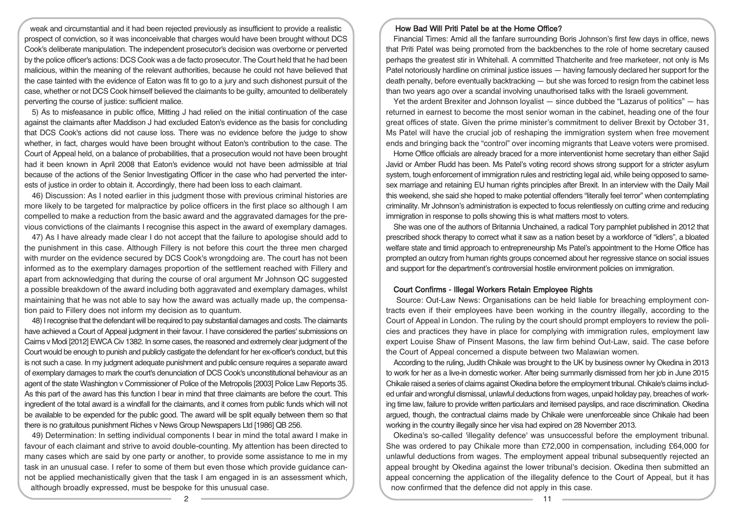weak and circumstantial and it had been rejected previously as insufficient to provide a realistic prospect of conviction, so it was inconceivable that charges would have been brought without DCS Cook's deliberate manipulation. The independent prosecutor's decision was overborne or perverted by the police officer's actions: DCS Cook was a de facto prosecutor. The Court held that he had been malicious, within the meaning of the relevant authorities, because he could not have believed that the case tainted with the evidence of Eaton was fit to go to a jury and such dishonest pursuit of the case, whether or not DCS Cook himself believed the claimants to be guilty, amounted to deliberately perverting the course of justice: sufficient malice.

5) As to misfeasance in public office, Mitting J had relied on the initial continuation of the case against the claimants after Maddison J had excluded Eaton's evidence as the basis for concluding that DCS Cook's actions did not cause loss. There was no evidence before the judge to show whether, in fact, charges would have been brought without Eaton's contribution to the case. The Court of Appeal held, on a balance of probabilities, that a prosecution would not have been brought had it been known in April 2008 that Eaton's evidence would not have been admissible at trial because of the actions of the Senior Investigating Officer in the case who had perverted the interests of justice in order to obtain it. Accordingly, there had been loss to each claimant.

46) Discussion: As I noted earlier in this judgment those with previous criminal histories are more likely to be targeted for malpractice by police officers in the first place so although I am compelled to make a reduction from the basic award and the aggravated damages for the previous convictions of the claimants I recognise this aspect in the award of exemplary damages.

47) As I have already made clear I do not accept that the failure to apologise should add to the punishment in this case. Although Fillery is not before this court the three men charged with murder on the evidence secured by DCS Cook's wrongdoing are. The court has not been informed as to the exemplary damages proportion of the settlement reached with Fillery and apart from acknowledging that during the course of oral argument Mr Johnson QC suggested a possible breakdown of the award including both aggravated and exemplary damages, whilst maintaining that he was not able to say how the award was actually made up, the compensation paid to Fillery does not inform my decision as to quantum.

48)Irecognise that the defendant will be required to pay substantial damages and costs. The claimants have achieved a Court of Appeal judgment in their favour. I have considered the parties' submissions on Cairns v Modi [2012] EWCA Civ 1382. In some cases, the reasoned and extremely clear judgment of the Court would be enough to punish and publicly castigate the defendant for her ex-officer's conduct, but this is not such a case. In my judgment adequate punishment and public censure requires a separate award of exemplary damages to mark the court's denunciation of DCS Cook's unconstitutional behaviour as an agent of the state Washington v Commissioner of Police of the Metropolis [2003] Police Law Reports 35. As this part of the award has this function I bear in mind that three claimants are before the court. This ingredient of the total award is a windfall for the claimants, and it comes from public funds which will not be available to be expended for the public good. The award will be split equally between them so that there is no gratuitous punishment Riches v News Group Newspapers Ltd [1986] QB 256.

49) Determination: In setting individual components I bear in mind the total award I make in favour of each claimant and strive to avoid double-counting. My attention has been directed to many cases which are said by one party or another, to provide some assistance to me in my task in an unusual case. I refer to some of them but even those which provide guidance cannot be applied mechanistically given that the task I am engaged in is an assessment which, although broadly expressed, must be bespoke for this unusual case.

#### How Bad Will Priti Patel be at the Home Office?

Financial Times: Amid all the fanfare surrounding Boris Johnson's first few days in office, news that Priti Patel was being promoted from the backbenches to the role of home secretary caused perhaps the greatest stir in Whitehall. A committed Thatcherite and free marketeer, not only is Ms Patel notoriously hardline on criminal justice issues — having famously declared her support for the death penalty, before eventually backtracking — but she was forced to resign from the cabinet less than two years ago over a scandal involving unauthorised talks with the Israeli government.

Yet the ardent Brexiter and Johnson loyalist — since dubbed the "Lazarus of politics" — has returned in earnest to become the most senior woman in the cabinet, heading one of the four great offices of state. Given the prime minister's commitment to deliver Brexit by October 31, Ms Patel will have the crucial job of reshaping the immigration system when free movement ends and bringing back the "control" over incoming migrants that Leave voters were promised.

Home Office officials are already braced for a more interventionist home secretary than either Sajid Javid or Amber Rudd has been. Ms Patel's voting record shows strong support for a stricter asylum system, tough enforcement of immigration rules and restricting legal aid, while being opposed to samesex marriage and retaining EU human rights principles after Brexit. In an interview with the Daily Mail this weekend, she said she hoped to make potential offenders "literally feel terror" when contemplating criminality. Mr Johnson's administration is expected to focus relentlessly on cutting crime and reducing immigration in response to polls showing this is what matters most to voters.

She was one of the authors of Britannia Unchained, a radical Tory pamphlet published in 2012 that prescribed shock therapy to correct what it saw as a nation beset by a workforce of "idlers", a bloated welfare state and timid approach to entrepreneurship Ms Patel's appointment to the Home Office has prompted an outcry from human rights groups concerned about her regressive stance on social issues and support for the department's controversial hostile environment policies on immigration.

## Court Confirms - Illegal Workers Retain Employee Rights

Source: Out-Law News: Organisations can be held liable for breaching employment contracts even if their employees have been working in the country illegally, according to the Court of Appeal in London. The ruling by the court should prompt employers to review the policies and practices they have in place for complying with immigration rules, employment law expert Louise Shaw of Pinsent Masons, the law firm behind Out-Law, said. The case before the Court of Appeal concerned a dispute between two Malawian women.

According to the ruling, Judith Chikale was brought to the UK by business owner Ivy Okedina in 2013 to work for her as a live-in domestic worker. After being summarily dismissed from her job in June 2015 Chikale raised a series of claims against Okedina before the employment tribunal. Chikale's claims included unfair and wrongful dismissal, unlawful deductions from wages, unpaid holiday pay, breaches of working time law, failure to provide written particulars and itemised payslips, and race discrimination. Okedina argued, though, the contractual claims made by Chikale were unenforceable since Chikale had been working in the country illegally since her visa had expired on 28 November 2013.

Okedina's so-called 'illegality defence' was unsuccessful before the employment tribunal. She was ordered to pay Chikale more than £72,000 in compensation, including £64,000 for unlawful deductions from wages. The employment appeal tribunal subsequently rejected an appeal brought by Okedina against the lower tribunal's decision. Okedina then submitted an appeal concerning the application of the illegality defence to the Court of Appeal, but it has now confirmed that the defence did not apply in this case.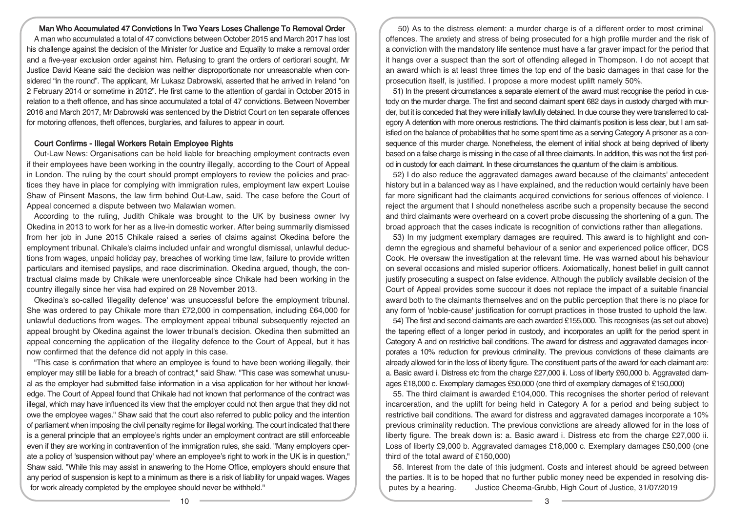#### Man Who Accumulated 47 Convictions In Two Years Loses Challenge To Removal Order

A man who accumulated a total of 47 convictions between October 2015 and March 2017 has lost his challenge against the decision of the Minister for Justice and Equality to make a removal order and a five-year exclusion order against him. Refusing to grant the orders of certiorari sought, Mr Justice David Keane said the decision was neither disproportionate nor unreasonable when considered "in the round". The applicant, Mr Lukasz Dabrowski, asserted that he arrived in Ireland "on 2 February 2014 or sometime in 2012". He first came to the attention of gardaí in October 2015 in relation to a theft offence, and has since accumulated a total of 47 convictions. Between November 2016 and March 2017, Mr Dabrowski was sentenced by the District Court on ten separate offences for motoring offences, theft offences, burglaries, and failures to appear in court.

#### Court Confirms - Illegal Workers Retain Employee Rights

Out-Law News: Organisations can be held liable for breaching employment contracts even if their employees have been working in the country illegally, according to the Court of Appeal in London. The ruling by the court should prompt employers to review the policies and practices they have in place for complying with immigration rules, employment law expert Louise Shaw of Pinsent Masons, the law firm behind Out-Law, said. The case before the Court of Appeal concerned a dispute between two Malawian women.

According to the ruling, Judith Chikale was brought to the UK by business owner Ivy Okedina in 2013 to work for her as a live-in domestic worker. After being summarily dismissed from her job in June 2015 Chikale raised a series of claims against Okedina before the employment tribunal. Chikale's claims included unfair and wrongful dismissal, unlawful deductions from wages, unpaid holiday pay, breaches of working time law, failure to provide written particulars and itemised payslips, and race discrimination. Okedina argued, though, the contractual claims made by Chikale were unenforceable since Chikale had been working in the country illegally since her visa had expired on 28 November 2013.

Okedina's so-called 'illegality defence' was unsuccessful before the employment tribunal. She was ordered to pay Chikale more than £72,000 in compensation, including £64,000 for unlawful deductions from wages. The employment appeal tribunal subsequently rejected an appeal brought by Okedina against the lower tribunal's decision. Okedina then submitted an appeal concerning the application of the illegality defence to the Court of Appeal, but it has now confirmed that the defence did not apply in this case.

"This case is confirmation that where an employee is found to have been working illegally, their employer may still be liable for a breach of contract," said Shaw. "This case was somewhat unusual as the employer had submitted false information in a visa application for her without her knowledge. The Court of Appeal found that Chikale had not known that performance of the contract was illegal, which may have influenced its view that the employer could not then argue that they did not owe the employee wages." Shaw said that the court also referred to public policy and the intention of parliament when imposing the civil penalty regime for illegal working. The court indicated that there is a general principle that an employee's rights under an employment contract are still enforceable even if they are working in contravention of the immigration rules, she said. "Many employers operate a policy of 'suspension without pay' where an employee's right to work in the UK is in question," Shaw said. "While this may assist in answering to the Home Office, employers should ensure that any period of suspension is kept to a minimum as there is a risk of liability for unpaid wages. Wages for work already completed by the employee should never be withheld."

50) As to the distress element: a murder charge is of a different order to most criminal offences. The anxiety and stress of being prosecuted for a high profile murder and the risk of a conviction with the mandatory life sentence must have a far graver impact for the period that it hangs over a suspect than the sort of offending alleged in Thompson. I do not accept that an award which is at least three times the top end of the basic damages in that case for the prosecution itself, is justified. I propose a more modest uplift namely 50%.

51) In the present circumstances a separate element of the award must recognise the period in custody on the murder charge. The first and second claimant spent 682 days in custody charged with murder, but it is conceded that they were initially lawfully detained. In due course they were transferred to category A detention with more onerous restrictions. The third claimant's position is less clear, but I am satisfied on the balance of probabilities that he some spent time as a serving Category A prisoner as a consequence of this murder charge. Nonetheless, the element of initial shock at being deprived of liberty based on a false charge is missing in the case of all three claimants. In addition, this was not the first period in custody for each claimant. In these circumstances the quantum of the claim is ambitious.

52) I do also reduce the aggravated damages award because of the claimants' antecedent history but in a balanced way as I have explained, and the reduction would certainly have been far more significant had the claimants acquired convictions for serious offences of violence. I reject the argument that I should nonetheless ascribe such a propensity because the second and third claimants were overheard on a covert probe discussing the shortening of a gun. The broad approach that the cases indicate is recognition of convictions rather than allegations.

53) In my judgment exemplary damages are required. This award is to highlight and condemn the egregious and shameful behaviour of a senior and experienced police officer, DCS Cook. He oversaw the investigation at the relevant time. He was warned about his behaviour on several occasions and misled superior officers. Axiomatically, honest belief in guilt cannot justify prosecuting a suspect on false evidence. Although the publicly available decision of the Court of Appeal provides some succour it does not replace the impact of a suitable financial award both to the claimants themselves and on the public perception that there is no place for any form of 'noble-cause' justification for corrupt practices in those trusted to uphold the law.

54) The first and second claimants are each awarded £155,000. This recognises (as set out above) the tapering effect of a longer period in custody, and incorporates an uplift for the period spent in Category A and on restrictive bail conditions. The award for distress and aggravated damages incorporates a 10% reduction for previous criminality. The previous convictions of these claimants are already allowed for in the loss of liberty figure. The constituent parts of the award for each claimant are: a. Basic award i. Distress etc from the charge £27,000 ii. Loss of liberty £60,000 b. Aggravated damages £18,000 c. Exemplary damages £50,000 (one third of exemplary damages of £150,000)

55. The third claimant is awarded £104,000. This recognises the shorter period of relevant incarceration, and the uplift for being held in Category A for a period and being subject to restrictive bail conditions. The award for distress and aggravated damages incorporate a 10% previous criminality reduction. The previous convictions are already allowed for in the loss of liberty figure. The break down is: a. Basic award i. Distress etc from the charge £27,000 ii. Loss of liberty £9,000 b. Aggravated damages £18,000 c. Exemplary damages £50,000 (one third of the total award of £150,000)

56. Interest from the date of this judgment. Costs and interest should be agreed between the parties. It is to be hoped that no further public money need be expended in resolving disputes by a hearing. Justice Cheema-Grubb, High Court of Justice, 31/07/2019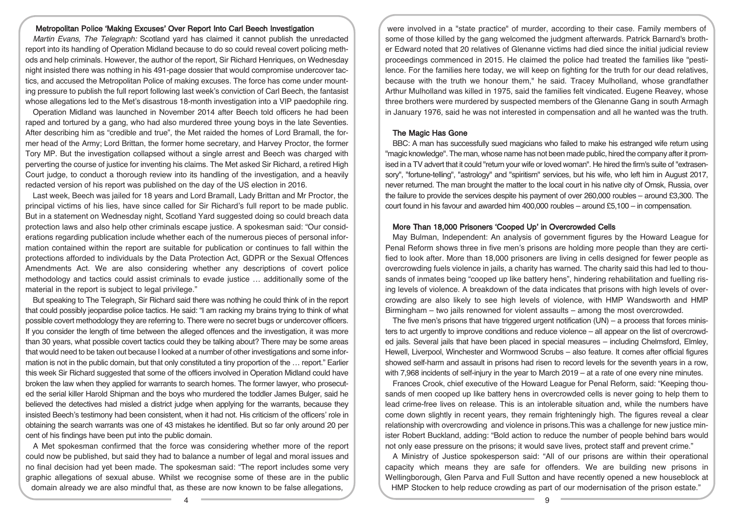## Metropolitan Police 'Making Excuses' Over Report Into Carl Beech Investigation

Martin Evans, The Telegraph: Scotland yard has claimed it cannot publish the unredacted report into its handling of Operation Midland because to do so could reveal covert policing methods and help criminals. However, the author of the report, Sir Richard Henriques, on Wednesday night insisted there was nothing in his 491-page dossier that would compromise undercover tactics, and accused the Metropolitan Police of making excuses. The force has come under mounting pressure to publish the full report following last week's conviction of Carl Beech, the fantasist whose allegations led to the Met's disastrous 18-month investigation into a VIP paedophile ring.

Operation Midland was launched in November 2014 after Beech told officers he had been raped and tortured by a gang, who had also murdered three young boys in the late Seventies. After describing him as "credible and true", the Met raided the homes of Lord Bramall, the former head of the Army; Lord Brittan, the former home secretary, and Harvey Proctor, the former Tory MP. But the investigation collapsed without a single arrest and Beech was charged with perverting the course of justice for inventing his claims. The Met asked Sir Richard, a retired High Court judge, to conduct a thorough review into its handling of the investigation, and a heavily redacted version of his report was published on the day of the US election in 2016.

Last week, Beech was jailed for 18 years and Lord Bramall, Lady Brittan and Mr Proctor, the principal victims of his lies, have since called for Sir Richard's full report to be made public. But in a statement on Wednesday night, Scotland Yard suggested doing so could breach data protection laws and also help other criminals escape justice. A spokesman said: "Our considerations regarding publication include whether each of the numerous pieces of personal information contained within the report are suitable for publication or continues to fall within the protections afforded to individuals by the Data Protection Act, GDPR or the Sexual Offences Amendments Act. We are also considering whether any descriptions of covert police methodology and tactics could assist criminals to evade justice … additionally some of the material in the report is subject to legal privilege."

But speaking to The Telegraph, Sir Richard said there was nothing he could think of in the report that could possibly jeopardise police tactics. He said: "I am racking my brains trying to think of what possible covert methodology they are referring to. There were no secret bugs or undercover officers. If you consider the length of time between the alleged offences and the investigation, it was more than 30 years, what possible covert tactics could they be talking about? There may be some areas that would need to be taken out because I looked at a number of other investigations and some information is not in the public domain, but that only constituted a tiny proportion of the … report." Earlier this week Sir Richard suggested that some of the officers involved in Operation Midland could have broken the law when they applied for warrants to search homes. The former lawyer, who prosecuted the serial killer Harold Shipman and the boys who murdered the toddler James Bulger, said he believed the detectives had misled a district judge when applying for the warrants, because they insisted Beech's testimony had been consistent, when it had not. His criticism of the officers' role in obtaining the search warrants was one of 43 mistakes he identified. But so far only around 20 per cent of his findings have been put into the public domain.

A Met spokesman confirmed that the force was considering whether more of the report could now be published, but said they had to balance a number of legal and moral issues and no final decision had yet been made. The spokesman said: "The report includes some very graphic allegations of sexual abuse. Whilst we recognise some of these are in the public domain already we are also mindful that, as these are now known to be false allegations,

were involved in a "state practice" of murder, according to their case. Family members of some of those killed by the gang welcomed the judgment afterwards. Patrick Barnard's brother Edward noted that 20 relatives of Glenanne victims had died since the initial judicial review proceedings commenced in 2015. He claimed the police had treated the families like "pestilence. For the families here today, we will keep on fighting for the truth for our dead relatives, because with the truth we honour them," he said. Tracey Mulholland, whose grandfather Arthur Mulholland was killed in 1975, said the families felt vindicated. Eugene Reavey, whose three brothers were murdered by suspected members of the Glenanne Gang in south Armagh in January 1976, said he was not interested in compensation and all he wanted was the truth.

#### The Magic Has Gone

BBC: A man has successfully sued magicians who failed to make his estranged wife return using "magic knowledge". The man, whose name has not been made public, hired the company afterit promised in a TV advert that it could "return your wife or loved woman". He hired the firm's suite of "extrasensory", "fortune-telling", "astrology" and "spiritism" services, but his wife, who left him in August 2017, never returned. The man brought the matter to the local court in his native city of Omsk, Russia, over the failure to provide the services despite his payment of over 260,000 roubles – around £3,300. The court found in his favour and awarded him 400,000 roubles – around £5,100 – in compensation.

## More Than 18,000 Prisoners 'Cooped Up' in Overcrowded Cells

May Bulman, Independent: An analysis of government figures by the Howard League for Penal Reform shows three in five men's prisons are holding more people than they are certified to look after. More than 18,000 prisoners are living in cells designed for fewer people as overcrowding fuels violence in jails, a charity has warned. The charity said this had led to thousands of inmates being "cooped up like battery hens", hindering rehabilitation and fuelling rising levels of violence. A breakdown of the data indicates that prisons with high levels of overcrowding are also likely to see high levels of violence, with HMP Wandsworth and HMP Birmingham – two jails renowned for violent assaults – among the most overcrowded.

The five men's prisons that have triggered urgent notification  $(UN) - a$  process that forces ministers to act urgently to improve conditions and reduce violence – all appear on the list of overcrowded jails. Several jails that have been placed in special measures – including Chelmsford, Elmley, Hewell, Liverpool, Winchester and Wormwood Scrubs – also feature. It comes after official figures showed self-harm and assault in prisons had risen to record levels for the seventh years in a row, with 7,968 incidents of self-injury in the year to March 2019 – at a rate of one every nine minutes.

Frances Crook, chief executive of the Howard League for Penal Reform, said: "Keeping thousands of men cooped up like battery hens in overcrowded cells is never going to help them to lead crime-free lives on release. This is an intolerable situation and, while the numbers have come down slightly in recent years, they remain frighteningly high. The figures reveal a clear relationship with overcrowding and violence in prisons.This was a challenge for new justice minister Robert Buckland, adding: "Bold action to reduce the number of people behind bars would not only ease pressure on the prisons; it would save lives, protect staff and prevent crime."

A Ministry of Justice spokesperson said: "All of our prisons are within their operational capacity which means they are safe for offenders. We are building new prisons in Wellingborough, Glen Parva and Full Sutton and have recently opened a new houseblock at HMP Stocken to help reduce crowding as part of our modernisation of the prison estate."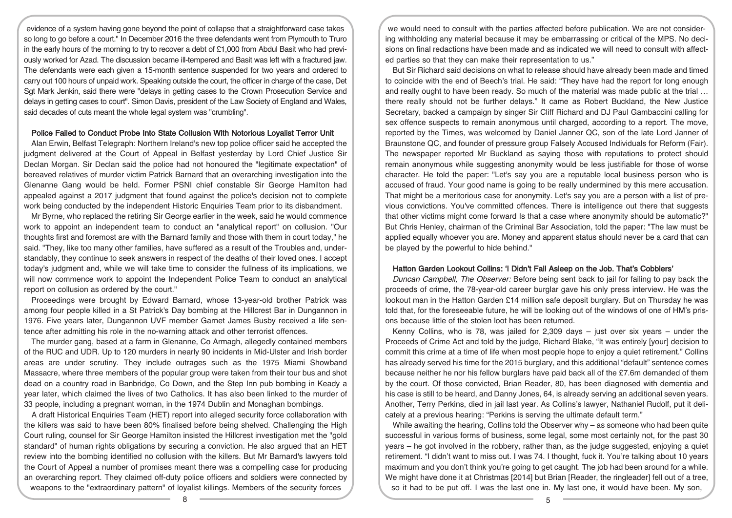evidence of a system having gone beyond the point of collapse that a straightforward case takes so long to go before a court." In December 2016 the three defendants went from Plymouth to Truro in the early hours of the morning to try to recover a debt of £1,000 from Abdul Basit who had previously worked for Azad. The discussion became ill-tempered and Basit was left with a fractured jaw. The defendants were each given a 15-month sentence suspended for two years and ordered to carry out 100 hours of unpaid work. Speaking outside the court, the officer in charge of the case, Det Sgt Mark Jenkin, said there were "delays in getting cases to the Crown Prosecution Service and delays in getting cases to court". Simon Davis, president of the Law Society of England and Wales, said decades of cuts meant the whole legal system was "crumbling".

#### Police Failed to Conduct Probe Into State Collusion With Notorious Loyalist Terror Unit

Alan Erwin, Belfast Telegraph: Northern Ireland's new top police officer said he accepted the judgment delivered at the Court of Appeal in Belfast yesterday by Lord Chief Justice Sir Declan Morgan. Sir Declan said the police had not honoured the "legitimate expectation" of bereaved relatives of murder victim Patrick Barnard that an overarching investigation into the Glenanne Gang would be held. Former PSNI chief constable Sir George Hamilton had appealed against a 2017 judgment that found against the police's decision not to complete work being conducted by the independent Historic Enquiries Team prior to its disbandment.

Mr Byrne, who replaced the retiring Sir George earlier in the week, said he would commence work to appoint an independent team to conduct an "analytical report" on collusion. "Our thoughts first and foremost are with the Barnard family and those with them in court today," he said. "They, like too many other families, have suffered as a result of the Troubles and, understandably, they continue to seek answers in respect of the deaths of their loved ones. I accept today's judgment and, while we will take time to consider the fullness of its implications, we will now commence work to appoint the Independent Police Team to conduct an analytical report on collusion as ordered by the court."

Proceedings were brought by Edward Barnard, whose 13-year-old brother Patrick was among four people killed in a St Patrick's Day bombing at the Hillcrest Bar in Dungannon in 1976. Five years later, Dungannon UVF member Garnet James Busby received a life sentence after admitting his role in the no-warning attack and other terrorist offences.

The murder gang, based at a farm in Glenanne, Co Armagh, allegedly contained members of the RUC and UDR. Up to 120 murders in nearly 90 incidents in Mid-Ulster and Irish border areas are under scrutiny. They include outrages such as the 1975 Miami Showband Massacre, where three members of the popular group were taken from their tour bus and shot dead on a country road in Banbridge, Co Down, and the Step Inn pub bombing in Keady a year later, which claimed the lives of two Catholics. It has also been linked to the murder of 33 people, including a pregnant woman, in the 1974 Dublin and Monaghan bombings.

A draft Historical Enquiries Team (HET) report into alleged security force collaboration with the killers was said to have been 80% finalised before being shelved. Challenging the High Court ruling, counsel for Sir George Hamilton insisted the Hillcrest investigation met the "gold standard" of human rights obligations by securing a conviction. He also argued that an HET review into the bombing identified no collusion with the killers. But Mr Barnard's lawyers told the Court of Appeal a number of promises meant there was a compelling case for producing an overarching report. They claimed off-duty police officers and soldiers were connected by weapons to the "extraordinary pattern" of loyalist killings. Members of the security forces

we would need to consult with the parties affected before publication. We are not considering withholding any material because it may be embarrassing or critical of the MPS. No decisions on final redactions have been made and as indicated we will need to consult with affected parties so that they can make their representation to us."

But Sir Richard said decisions on what to release should have already been made and timed to coincide with the end of Beech's trial. He said: "They have had the report for long enough and really ought to have been ready. So much of the material was made public at the trial … there really should not be further delays." It came as Robert Buckland, the New Justice Secretary, backed a campaign by singer Sir Cliff Richard and DJ Paul Gambaccini calling for sex offence suspects to remain anonymous until charged, according to a report. The move, reported by the Times, was welcomed by Daniel Janner QC, son of the late Lord Janner of Braunstone QC, and founder of pressure group Falsely Accused Individuals for Reform (Fair). The newspaper reported Mr Buckland as saying those with reputations to protect should remain anonymous while suggesting anonymity would be less justifiable for those of worse character. He told the paper: "Let's say you are a reputable local business person who is accused of fraud. Your good name is going to be really undermined by this mere accusation. That might be a meritorious case for anonymity. Let's say you are a person with a list of previous convictions. You've committed offences. There is intelligence out there that suggests that other victims might come forward Is that a case where anonymity should be automatic?" But Chris Henley, chairman of the Criminal Bar Association, told the paper: "The law must be applied equally whoever you are. Money and apparent status should never be a card that can be played by the powerful to hide behind."

## Hatton Garden Lookout Collins: 'I Didn't Fall Asleep on the Job. That's Cobblers'

Duncan Campbell, The Observer: Before being sent back to jail for failing to pay back the proceeds of crime, the 78-year-old career burglar gave his only press interview. He was the lookout man in the Hatton Garden £14 million safe deposit burglary. But on Thursday he was told that, for the foreseeable future, he will be looking out of the windows of one of HM's prisons because little of the stolen loot has been returned.

Kenny Collins, who is 78, was jailed for 2,309 days  $-$  just over six years  $-$  under the Proceeds of Crime Act and told by the judge, Richard Blake, "It was entirely [your] decision to commit this crime at a time of life when most people hope to enjoy a quiet retirement." Collins has already served his time for the 2015 burglary, and this additional "default" sentence comes because neither he nor his fellow burglars have paid back all of the £7.6m demanded of them by the court. Of those convicted, Brian Reader, 80, has been diagnosed with dementia and his case is still to be heard, and Danny Jones, 64, is already serving an additional seven years. Another, Terry Perkins, died in jail last year. As Collins's lawyer, Nathaniel Rudolf, put it delicately at a previous hearing: "Perkins is serving the ultimate default term."

While awaiting the hearing, Collins told the Observer why – as someone who had been quite successful in various forms of business, some legal, some most certainly not, for the past 30 years – he got involved in the robbery, rather than, as the judge suggested, enjoying a quiet retirement. "I didn't want to miss out. I was 74. I thought, fuck it. You're talking about 10 years maximum and you don't think you're going to get caught. The job had been around for a while. We might have done it at Christmas [2014] but Brian [Reader, the ringleader] fell out of a tree, so it had to be put off. I was the last one in. My last one, it would have been. My son,